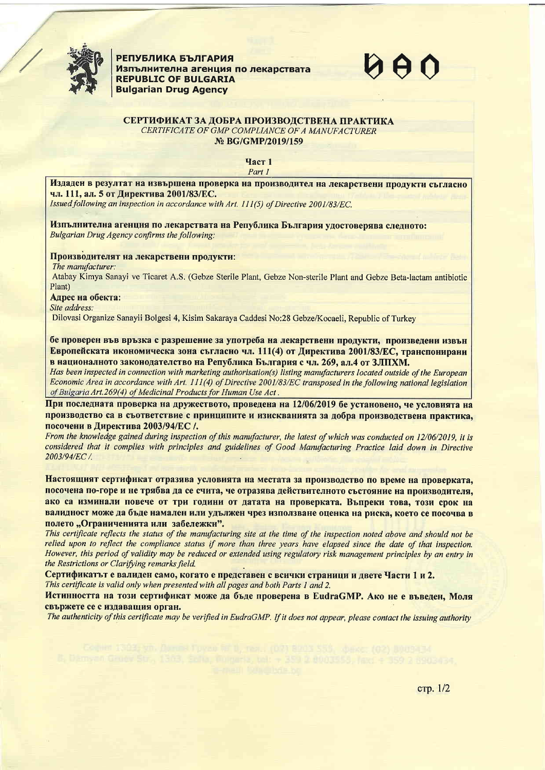

**РЕПУБЛИКА БЪЛГАРИЯ** Изпълнителна агенция по лекарствата **REPUBLIC OF BULGARIA Bulgarian Drug Agency** 

## СЕРТИФИКАТ ЗА ДОБРА ПРОИЗВОЛСТВЕНА ПРАКТИКА CERTIFICATE OF GMP COMPLIANCE OF A MANUFACTURER № BG/GMP/2019/159

**Част 1** Part 1

Издаден в резултат на извършена проверка на производител на лекарствени продукти съгласно чл. 111, ал. 5 от Директива 2001/83/ЕС.

Issued following an inspection in accordance with Art. 111(5) of Directive 2001/83/EC.

Изпълнителна агенция по лекарствата на Република България удостоверява следното: Bulgarian Drug Agency confirms the following:

Производителят на лекарствени продукти:

The manufacturer:

Atabay Kimya Sanayi ve Ticaret A.S. (Gebze Sterile Plant, Gebze Non-sterile Plant and Gebze Beta-lactam antibiotic Plant)

Адрес на обекта:

Site address:

Dilovasi Organize Sanayii Bolgesi 4, Kisim Sakaraya Caddesi No:28 Gebze/Kocaeli, Republic of Turkey

бе проверен във връзка с разрешение за употреба на лекарствени продукти, произведени извън Европейската икономическа зона съгласно чл. 111(4) от Директива 2001/83/ЕС, транспонирани в националното законодателство на Република България с чл. 269. ал.4 от ЗЛПХМ.

Has been inspected in connection with marketing authorisation(s) listing manufacturers located outside of the European Economic Area in accordance with Art. 111(4) of Directive 2001/83/EC transposed in the following national legislation of Bulgaria Art.269(4) of Medicinal Products for Human Use Act.

При последната проверка на дружеството, проведена на 12/06/2019 бе установено, че условията на производство са в съответствие с принципите и изискванията за добра производствена практика, посочени в Директива 2003/94/ЕС /.

From the knowledge gained during inspection of this manufacturer, the latest of which was conducted on 12/06/2019, it is considered that it complies with principles and guidelines of Good Manufacturing Practice laid down in Directive 2003/94/EC /.

Настоящият сертификат отразява условията на местата за производство по време на проверката, посочена по-горе и не трябва да се счита, че отразява действителното състояние на производителя, ако са изминали повече от три години от датата на проверката. Въпреки това, този срок на валидност може да бъде намален или удължен чрез използване оценка на риска, което се посочва в полето "Ограниченията или забележки".

This certificate reflects the status of the manufacturing site at the time of the inspection noted above and should not be relied upon to reflect the compliance status if more than three years have elapsed since the date of that inspection. However, this period of validity may be reduced or extended using regulatory risk management principles by an entry in the Restrictions or Clarifying remarks field.

Сертификатът е валиден само, когато е представен с всички страници и двете Части 1 и 2. This certificate is valid only when presented with all pages and both Parts 1 and 2.

Истинността на този сертификат може да бъде проверена в EudraGMP. Ако не е въведен, Моля свържете се с излавашия орган.

The authenticity of this certificate may be verified in EudraGMP. If it does not appear, please contact the issuing authority